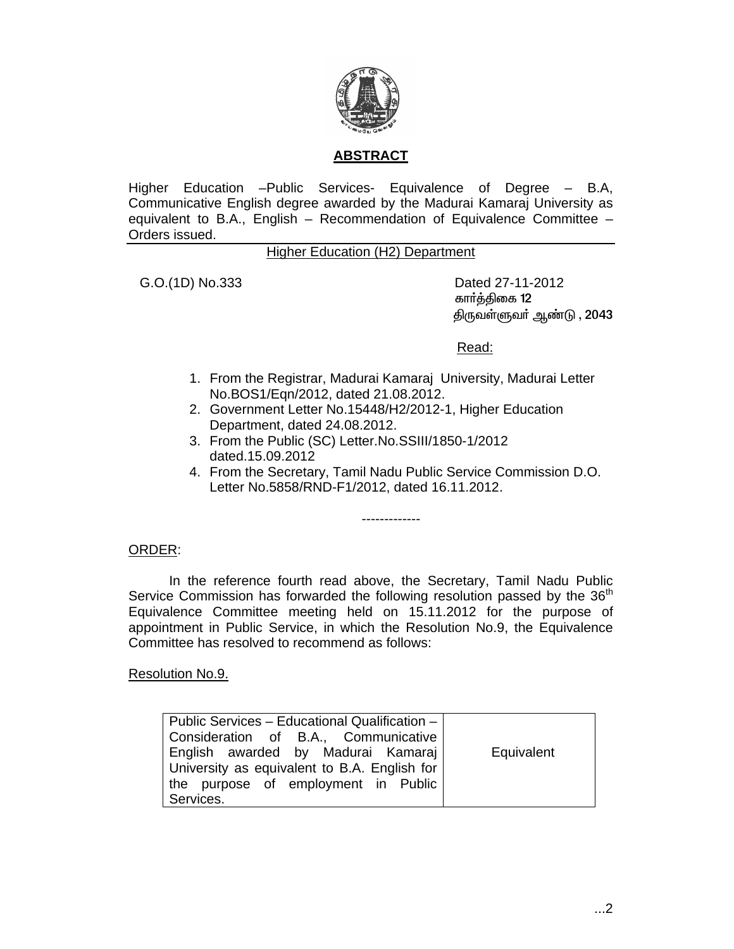

# **ABSTRACT**

Higher Education –Public Services- Equivalence of Degree – B.A, Communicative English degree awarded by the Madurai Kamaraj University as equivalent to B.A., English – Recommendation of Equivalence Committee – Orders issued.

### Higher Education (H2) Department

 G.O.(1D) No.333 Dated 27-11-2012 கார்த்திகை 12 திருவள்ளுவா் ஆண்டு , 2043

Read:

- 1. From the Registrar, Madurai Kamaraj University, Madurai Letter No.BOS1/Eqn/2012, dated 21.08.2012.
- 2. Government Letter No.15448/H2/2012-1, Higher Education Department, dated 24.08.2012.
- 3. From the Public (SC) Letter.No.SSIII/1850-1/2012 dated.15.09.2012
- 4. From the Secretary, Tamil Nadu Public Service Commission D.O. Letter No.5858/RND-F1/2012, dated 16.11.2012.

-------------

### ORDER:

In the reference fourth read above, the Secretary, Tamil Nadu Public Service Commission has forwarded the following resolution passed by the  $36<sup>th</sup>$ Equivalence Committee meeting held on 15.11.2012 for the purpose of appointment in Public Service, in which the Resolution No.9, the Equivalence Committee has resolved to recommend as follows:

Resolution No.9.

| Public Services - Educational Qualification - |            |
|-----------------------------------------------|------------|
| Consideration of B.A., Communicative          |            |
| English awarded by Madurai Kamaraj            | Equivalent |
| University as equivalent to B.A. English for  |            |
| the purpose of employment in Public           |            |
| Services.                                     |            |